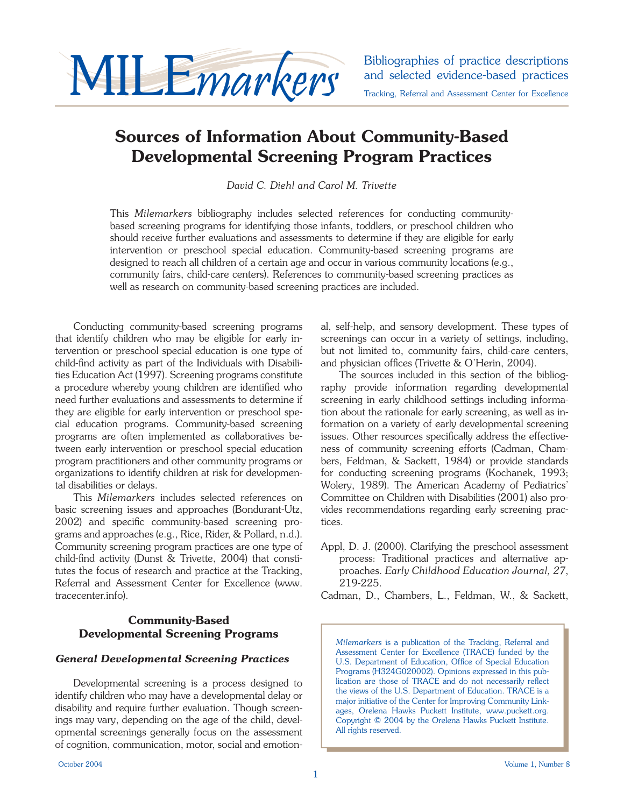

# **Sources of Information About Community-Based Developmental Screening Program Practices**

*David C. Diehl and Carol M. Trivette*

This *Milemarkers* bibliography includes selected references for conducting communitybased screening programs for identifying those infants, toddlers, or preschool children who should receive further evaluations and assessments to determine if they are eligible for early intervention or preschool special education. Community-based screening programs are designed to reach all children of a certain age and occur in various community locations (e.g., community fairs, child-care centers). References to community-based screening practices as well as research on community-based screening practices are included.

Conducting community-based screening programs that identify children who may be eligible for early intervention or preschool special education is one type of child-find activity as part of the Individuals with Disabilities Education Act (1997). Screening programs constitute a procedure whereby young children are identified who need further evaluations and assessments to determine if they are eligible for early intervention or preschool special education programs. Community-based screening programs are often implemented as collaboratives between early intervention or preschool special education program practitioners and other community programs or organizations to identify children at risk for developmental disabilities or delays.

This *Milemarkers* includes selected references on basic screening issues and approaches (Bondurant-Utz, 2002) and specific community-based screening programs and approaches (e.g., Rice, Rider, & Pollard, n.d.). Community screening program practices are one type of child-find activity (Dunst  $\&$  Trivette, 2004) that constitutes the focus of research and practice at the Tracking, Referral and Assessment Center for Excellence (www. tracecenter.info).

## **Community-Based Developmental Screening Programs**

### *General Developmental Screening Practices*

Developmental screening is a process designed to identify children who may have a developmental delay or disability and require further evaluation. Though screenings may vary, depending on the age of the child, developmental screenings generally focus on the assessment of cognition, communication, motor, social and emotional, self-help, and sensory development. These types of screenings can occur in a variety of settings, including, but not limited to, community fairs, child-care centers, and physician offices (Trivette & O'Herin, 2004).

The sources included in this section of the bibliography provide information regarding developmental screening in early childhood settings including information about the rationale for early screening, as well as information on a variety of early developmental screening issues. Other resources specifically address the effectiveness of community screening efforts (Cadman, Chambers, Feldman, & Sackett, 1984) or provide standards for conducting screening programs (Kochanek, 1993; Wolery, 1989). The American Academy of Pediatrics' Committee on Children with Disabilities (2001) also provides recommendations regarding early screening practices.

Appl, D. J. (2000). Clarifying the preschool assessment process: Traditional practices and alternative approaches. *Early Childhood Education Journal, 27*, 219-225.

Cadman, D., Chambers, L., Feldman, W., & Sackett,

*Milemarkers* is a publication of the Tracking, Referral and Assessment Center for Excellence (TRACE) funded by the U.S. Department of Education, Office of Special Education Programs (H324G020002). Opinions expressed in this publication are those of TRACE and do not necessarily reflect the views of the U.S. Department of Education. TRACE is a major initiative of the Center for Improving Community Linkages, Orelena Hawks Puckett Institute, www.puckett.org. Copyright © 2004 by the Orelena Hawks Puckett Institute. All rights reserved.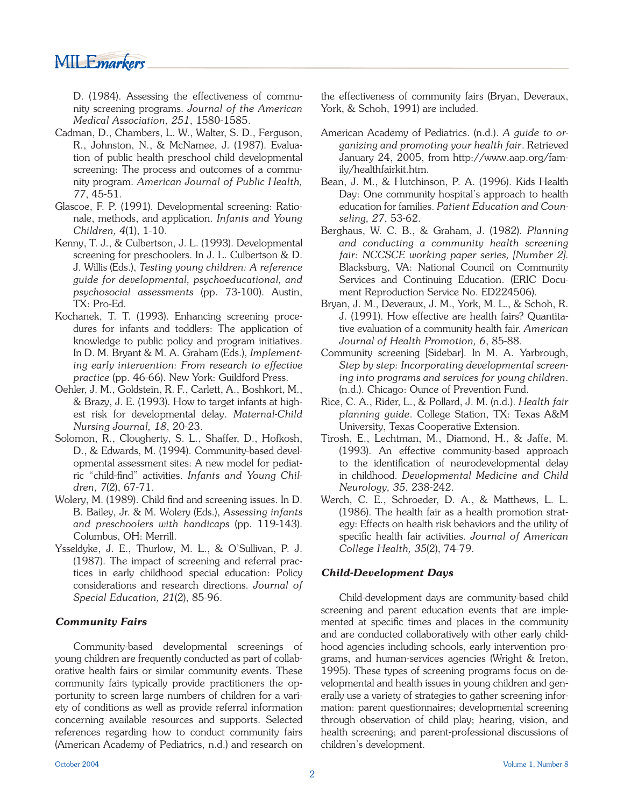

D. (1984). Assessing the effectiveness of community screening programs. *Journal of the American Medical Association, 251*, 1580-1585.

- Cadman, D., Chambers, L. W., Walter, S. D., Ferguson, R., Johnston, N., & McNamee, J. (1987). Evaluation of public health preschool child developmental screening: The process and outcomes of a community program. *American Journal of Public Health, 77*, 45-51.
- Glascoe, F. P. (1991). Developmental screening: Rationale, methods, and application. *Infants and Young Children, 4*(1), 1-10.
- Kenny, T. J., & Culbertson, J. L. (1993). Developmental screening for preschoolers. In J. L. Culbertson & D. J. Willis (Eds.), *Testing young children: A reference guide for developmental, psychoeducational, and psychosocial assessments* (pp. 73-100). Austin, TX: Pro-Ed.
- Kochanek, T. T. (1993). Enhancing screening procedures for infants and toddlers: The application of knowledge to public policy and program initiatives. In D. M. Bryant & M. A. Graham (Eds.), *Implementing early intervention: From research to effective practice* (pp. 46-66). New York: Guildford Press.
- Oehler, J. M., Goldstein, R. F., Carlett, A., Boshkort, M., & Brazy, J. E. (1993). How to target infants at highest risk for developmental delay. *Maternal-Child Nursing Journal, 18*, 20-23.
- Solomon, R., Clougherty, S. L., Shaffer, D., Hofkosh, D., & Edwards, M. (1994). Community-based developmental assessment sites: A new model for pediatric "child-find" activities. *Infants and Young Children, 7*(2), 67-71.
- Wolery, M. (1989). Child find and screening issues. In D. B. Bailey, Jr. & M. Wolery (Eds.), *Assessing infants and preschoolers with handicaps* (pp. 119-143). Columbus, OH: Merrill.
- Ysseldyke, J. E., Thurlow, M. L., & O'Sullivan, P. J. (1987). The impact of screening and referral practices in early childhood special education: Policy considerations and research directions. *Journal of Special Education, 21*(2), 85-96.

#### *Community Fairs*

Community-based developmental screenings of young children are frequently conducted as part of collaborative health fairs or similar community events. These community fairs typically provide practitioners the opportunity to screen large numbers of children for a variety of conditions as well as provide referral information concerning available resources and supports. Selected references regarding how to conduct community fairs (American Academy of Pediatrics, n.d.) and research on the effectiveness of community fairs (Bryan, Deveraux, York, & Schoh, 1991) are included.

- American Academy of Pediatrics. (n.d.). *A guide to organizing and promoting your health fair*. Retrieved January 24, 2005, from http://www.aap.org/family/healthfairkit.htm.
- Bean, J. M., & Hutchinson, P. A. (1996). Kids Health Day: One community hospital's approach to health education for families. *Patient Education and Counseling, 27*, 53-62.
- Berghaus, W. C. B., & Graham, J. (1982). *Planning and conducting a community health screening fair: NCCSCE working paper series, [Number 2]*. Blacksburg, VA: National Council on Community Services and Continuing Education. (ERIC Document Reproduction Service No. ED224506).
- Bryan, J. M., Deveraux, J. M., York, M. L., & Schoh, R. J. (1991). How effective are health fairs? Quantitative evaluation of a community health fair. *American Journal of Health Promotion, 6*, 85-88.
- Community screening [Sidebar]. In M. A. Yarbrough, *Step by step: Incorporating developmental screening into programs and services for young children*. (n.d.). Chicago: Ounce of Prevention Fund.
- Rice, C. A., Rider, L., & Pollard, J. M. (n.d.). *Health fair planning guide*. College Station, TX: Texas A&M University, Texas Cooperative Extension.
- Tirosh, E., Lechtman, M., Diamond, H., & Jaffe, M. (1993). An effective community-based approach to the identification of neurodevelopmental delay in childhood. *Developmental Medicine and Child Neurology, 35*, 238-242.
- Werch, C. E., Schroeder, D. A., & Matthews, L. L. (1986). The health fair as a health promotion strategy: Effects on health risk behaviors and the utility of specific health fair activities. Journal of American *College Health, 35*(2), 74-79.

### *Child-Development Days*

Child-development days are community-based child screening and parent education events that are implemented at specific times and places in the community and are conducted collaboratively with other early childhood agencies including schools, early intervention programs, and human-services agencies (Wright & Ireton, 1995). These types of screening programs focus on developmental and health issues in young children and generally use a variety of strategies to gather screening information: parent questionnaires; developmental screening through observation of child play; hearing, vision, and health screening; and parent-professional discussions of children's development.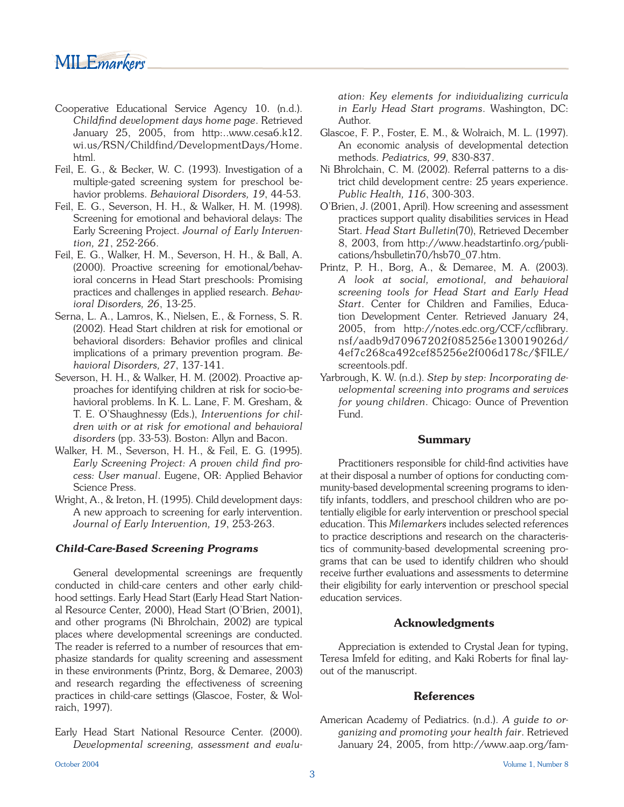# MILE*markers*

- Cooperative Educational Service Agency 10. (n.d.). *Childfi nd development days home page*. Retrieved January 25, 2005, from http:..www.cesa6.k12. wi.us/RSN/Childfind/DevelopmentDays/Home. html.
- Feil, E. G., & Becker, W. C. (1993). Investigation of a multiple-gated screening system for preschool behavior problems. *Behavioral Disorders, 19*, 44-53.
- Feil, E. G., Severson, H. H., & Walker, H. M. (1998). Screening for emotional and behavioral delays: The Early Screening Project. *Journal of Early Intervention, 21*, 252-266.
- Feil, E. G., Walker, H. M., Severson, H. H., & Ball, A. (2000). Proactive screening for emotional/behavioral concerns in Head Start preschools: Promising practices and challenges in applied research. *Behavioral Disorders, 26*, 13-25.
- Serna, L. A., Lamros, K., Nielsen, E., & Forness, S. R. (2002). Head Start children at risk for emotional or behavioral disorders: Behavior profiles and clinical implications of a primary prevention program. *Behavioral Disorders, 27*, 137-141.
- Severson, H. H., & Walker, H. M. (2002). Proactive approaches for identifying children at risk for socio-behavioral problems. In K. L. Lane, F. M. Gresham, & T. E. O'Shaughnessy (Eds.), *Interventions for children with or at risk for emotional and behavioral disorders* (pp. 33-53). Boston: Allyn and Bacon.
- Walker, H. M., Severson, H. H., & Feil, E. G. (1995). Early Screening Project: A proven child find pro*cess: User manual*. Eugene, OR: Applied Behavior Science Press.
- Wright, A., & Ireton, H. (1995). Child development days: A new approach to screening for early intervention. *Journal of Early Intervention, 19*, 253-263.

#### *Child-Care-Based Screening Programs*

General developmental screenings are frequently conducted in child-care centers and other early childhood settings. Early Head Start (Early Head Start National Resource Center, 2000), Head Start (O'Brien, 2001), and other programs (Ni Bhrolchain, 2002) are typical places where developmental screenings are conducted. The reader is referred to a number of resources that emphasize standards for quality screening and assessment in these environments (Printz, Borg, & Demaree, 2003) and research regarding the effectiveness of screening practices in child-care settings (Glascoe, Foster, & Wolraich, 1997).

Early Head Start National Resource Center. (2000). *Developmental screening, assessment and evalu-* *ation: Key elements for individualizing curricula in Early Head Start programs*. Washington, DC: Author.

- Glascoe, F. P., Foster, E. M., & Wolraich, M. L. (1997). An economic analysis of developmental detection methods. *Pediatrics, 99*, 830-837.
- Ni Bhrolchain, C. M. (2002). Referral patterns to a district child development centre: 25 years experience. *Public Health, 116*, 300-303.
- O'Brien, J. (2001, April). How screening and assessment practices support quality disabilities services in Head Start. *Head Start Bulletin*(70), Retrieved December 8, 2003, from http://www.headstartinfo.org/publications/hsbulletin70/hsb70\_07.htm.
- Printz, P. H., Borg, A., & Demaree, M. A. (2003). *A look at social, emotional, and behavioral screening tools for Head Start and Early Head Start*. Center for Children and Families, Education Development Center. Retrieved January 24, 2005, from http://notes.edc.org/CCF/ccflibrary. nsf/aadb9d70967202f085256e130019026d/ 4ef7c268ca492cef85256e2f006d178c/\$FILE/ screentools.pdf.
- Yarbrough, K. W. (n.d.). *Step by step: Incorporating developmental screening into programs and services for young children*. Chicago: Ounce of Prevention Fund.

#### **Summary**

Practitioners responsible for child-find activities have at their disposal a number of options for conducting community-based developmental screening programs to identify infants, toddlers, and preschool children who are potentially eligible for early intervention or preschool special education. This *Milemarkers* includes selected references to practice descriptions and research on the characteristics of community-based developmental screening programs that can be used to identify children who should receive further evaluations and assessments to determine their eligibility for early intervention or preschool special education services.

#### **Acknowledgments**

Appreciation is extended to Crystal Jean for typing, Teresa Imfeld for editing, and Kaki Roberts for final layout of the manuscript.

#### **References**

American Academy of Pediatrics. (n.d.). *A guide to organizing and promoting your health fair*. Retrieved January 24, 2005, from http://www.aap.org/fam-